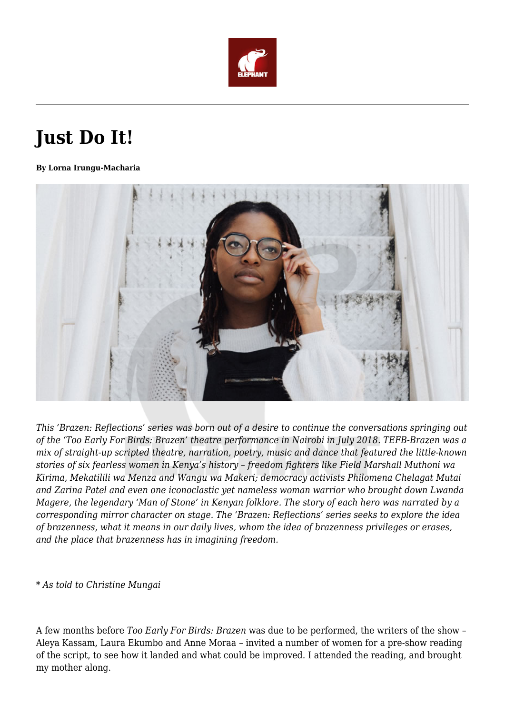

## **Just Do It!**

## **By Lorna Irungu-Macharia**



*This 'Brazen: Reflections' series was born out of a desire to continue the conversations springing out of the 'Too Early For Birds: Brazen' theatre performance in Nairobi in July 2018. TEFB-Brazen was a mix of straight-up scripted theatre, narration, poetry, music and dance that featured the little-known stories of six fearless women in Kenya's history – freedom fighters like Field Marshall Muthoni wa Kirima, Mekatilili wa Menza and Wangu wa Makeri; democracy activists Philomena Chelagat Mutai and Zarina Patel and even one iconoclastic yet nameless woman warrior who brought down Lwanda Magere, the legendary 'Man of Stone' in Kenyan folklore. The story of each hero was narrated by a corresponding mirror character on stage. The 'Brazen: Reflections' series seeks to explore the idea of brazenness, what it means in our daily lives, whom the idea of brazenness privileges or erases, and the place that brazenness has in imagining freedom.* 

## *\* As told to Christine Mungai*

A few months before *Too Early For Birds: Brazen* was due to be performed, the writers of the show – Aleya Kassam, Laura Ekumbo and Anne Moraa – invited a number of women for a pre-show reading of the script, to see how it landed and what could be improved. I attended the reading, and brought my mother along.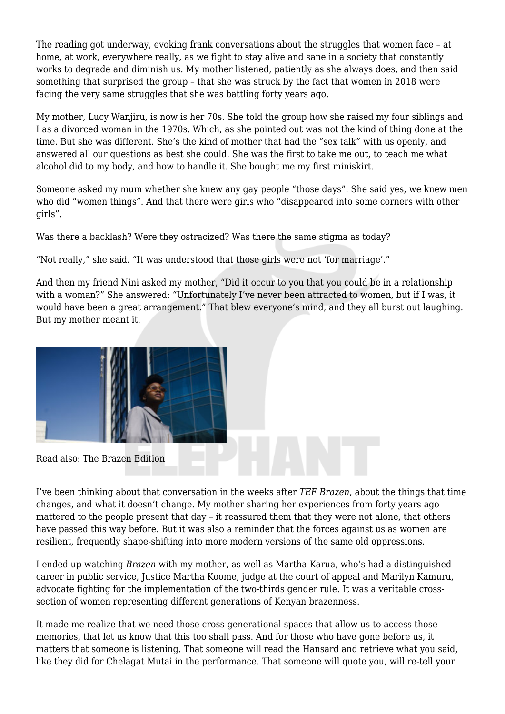The reading got underway, evoking frank conversations about the struggles that women face - at home, at work, everywhere really, as we fight to stay alive and sane in a society that constantly works to degrade and diminish us. My mother listened, patiently as she always does, and then said something that surprised the group – that she was struck by the fact that women in 2018 were facing the very same struggles that she was battling forty years ago.

My mother, Lucy Wanjiru, is now is her 70s. She told the group how she raised my four siblings and I as a divorced woman in the 1970s. Which, as she pointed out was not the kind of thing done at the time. But she was different. She's the kind of mother that had the "sex talk" with us openly, and answered all our questions as best she could. She was the first to take me out, to teach me what alcohol did to my body, and how to handle it. She bought me my first miniskirt.

Someone asked my mum whether she knew any gay people "those days". She said yes, we knew men who did "women things". And that there were girls who "disappeared into some corners with other girls".

Was there a backlash? Were they ostracized? Was there the same stigma as today?

"Not really," she said. "It was understood that those girls were not 'for marriage'."

And then my friend Nini asked my mother, "Did it occur to you that you could be in a relationship with a woman?" She answered: "Unfortunately I've never been attracted to women, but if I was, it would have been a great arrangement." That blew everyone's mind, and they all burst out laughing. But my mother meant it.



Read also: The Brazen Edition

I've been thinking about that conversation in the weeks after *TEF Brazen*, about the things that time changes, and what it doesn't change. My mother sharing her experiences from forty years ago mattered to the people present that day – it reassured them that they were not alone, that others have passed this way before. But it was also a reminder that the forces against us as women are resilient, frequently shape-shifting into more modern versions of the same old oppressions.

I ended up watching *Brazen* with my mother, as well as Martha Karua, who's had a distinguished career in public service, Justice Martha Koome, judge at the court of appeal and Marilyn Kamuru, advocate fighting for the implementation of the two-thirds gender rule. It was a veritable crosssection of women representing different generations of Kenyan brazenness.

It made me realize that we need those cross-generational spaces that allow us to access those memories, that let us know that this too shall pass. And for those who have gone before us, it matters that someone is listening. That someone will read the Hansard and retrieve what you said, like they did for Chelagat Mutai in the performance. That someone will quote you, will re-tell your